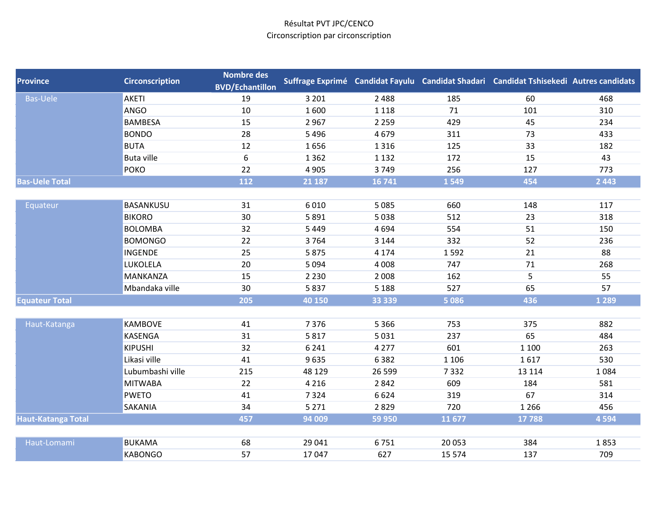| <b>Province</b>           | <b>Circonscription</b> | <b>Nombre des</b><br><b>BVD/Echantillon</b> |         |          |          | Suffrage Exprimé Candidat Fayulu Candidat Shadari Candidat Tshisekedi Autres candidats |         |
|---------------------------|------------------------|---------------------------------------------|---------|----------|----------|----------------------------------------------------------------------------------------|---------|
| <b>Bas-Uele</b>           | AKETI                  | 19                                          | 3 2 0 1 | 2 4 8 8  | 185      | 60                                                                                     | 468     |
|                           | <b>ANGO</b>            | 10                                          | 1600    | 1 1 1 8  | 71       | 101                                                                                    | 310     |
|                           | <b>BAMBESA</b>         | 15                                          | 2967    | 2 2 5 9  | 429      | 45                                                                                     | 234     |
|                           | <b>BONDO</b>           | 28                                          | 5496    | 4679     | 311      | 73                                                                                     | 433     |
|                           | <b>BUTA</b>            | 12                                          | 1656    | 1 3 1 6  | 125      | 33                                                                                     | 182     |
|                           | <b>Buta ville</b>      | 6                                           | 1362    | 1 1 3 2  | 172      | 15                                                                                     | 43      |
|                           | <b>POKO</b>            | 22                                          | 4 9 0 5 | 3749     | 256      | 127                                                                                    | 773     |
| <b>Bas-Uele Total</b>     |                        | 112                                         | 21 187  | 16 741   | 1549     | 454                                                                                    | 2 4 4 3 |
|                           |                        |                                             |         |          |          |                                                                                        |         |
| Equateur                  | BASANKUSU              | 31                                          | 6010    | 5 0 8 5  | 660      | 148                                                                                    | 117     |
|                           | <b>BIKORO</b>          | 30                                          | 5891    | 5038     | 512      | 23                                                                                     | 318     |
|                           | <b>BOLOMBA</b>         | 32                                          | 5 4 4 9 | 4694     | 554      | 51                                                                                     | 150     |
|                           | <b>BOMONGO</b>         | 22                                          | 3764    | 3 1 4 4  | 332      | 52                                                                                     | 236     |
|                           | <b>INGENDE</b>         | 25                                          | 5875    | 4 1 7 4  | 1592     | 21                                                                                     | 88      |
|                           | LUKOLELA               | 20                                          | 5 0 9 4 | 4 0 0 8  | 747      | 71                                                                                     | 268     |
|                           | <b>MANKANZA</b>        | 15                                          | 2 2 3 0 | 2 0 0 8  | 162      | 5                                                                                      | 55      |
|                           | Mbandaka ville         | 30                                          | 5837    | 5 1 8 8  | 527      | 65                                                                                     | 57      |
| <b>Equateur Total</b>     |                        | 205                                         | 40 150  | 33 3 3 9 | 5 0 8 6  | 436                                                                                    | 1 2 8 9 |
|                           |                        |                                             |         |          |          |                                                                                        |         |
| Haut-Katanga              | <b>KAMBOVE</b>         | 41                                          | 7376    | 5 3 6 6  | 753      | 375                                                                                    | 882     |
|                           | KASENGA                | 31                                          | 5817    | 5 0 3 1  | 237      | 65                                                                                     | 484     |
|                           | <b>KIPUSHI</b>         | 32                                          | 6 2 4 1 | 4 2 7 7  | 601      | 1 1 0 0                                                                                | 263     |
|                           | Likasi ville           | 41                                          | 9635    | 6382     | 1 1 0 6  | 1617                                                                                   | 530     |
|                           | Lubumbashi ville       | 215                                         | 48 1 29 | 26 599   | 7332     | 13 1 14                                                                                | 1084    |
|                           | <b>MITWABA</b>         | 22                                          | 4 2 1 6 | 2842     | 609      | 184                                                                                    | 581     |
|                           | <b>PWETO</b>           | 41                                          | 7324    | 6624     | 319      | 67                                                                                     | 314     |
|                           | SAKANIA                | 34                                          | 5 2 7 1 | 2829     | 720      | 1 2 6 6                                                                                | 456     |
| <b>Haut-Katanga Total</b> |                        | 457                                         | 94 009  | 59 950   | 11677    | 17788                                                                                  | 4 5 9 4 |
|                           |                        |                                             |         |          |          |                                                                                        |         |
| Haut-Lomami               | <b>BUKAMA</b>          | 68                                          | 29 041  | 6751     | 20 053   | 384                                                                                    | 1853    |
|                           | <b>KABONGO</b>         | 57                                          | 17047   | 627      | 15 5 7 4 | 137                                                                                    | 709     |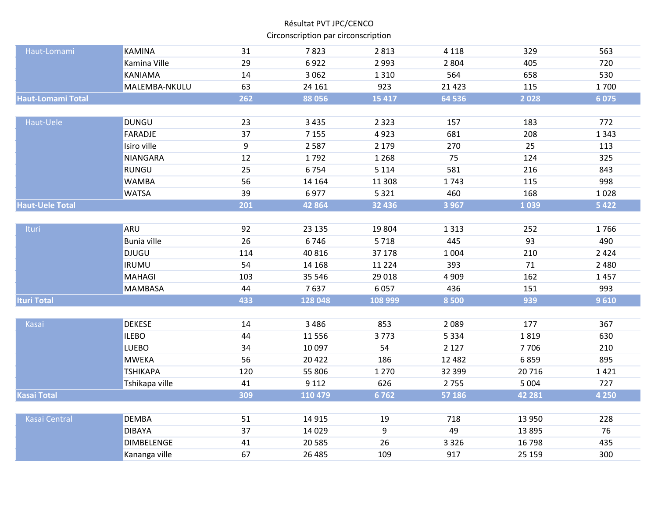| Haut-Lomami              | <b>KAMINA</b>      | 31             | 7823     | 2813     | 4 1 1 8  | 329     | 563     |
|--------------------------|--------------------|----------------|----------|----------|----------|---------|---------|
|                          | Kamina Ville       | 29             | 6922     | 2 9 9 3  | 2 8 0 4  | 405     | 720     |
|                          | <b>KANIAMA</b>     | 14             | 3 0 6 2  | 1310     | 564      | 658     | 530     |
|                          | MALEMBA-NKULU      | 63             | 24 16 1  | 923      | 21 4 23  | 115     | 1700    |
| <b>Haut-Lomami Total</b> |                    | 262            | 88 056   | 15 4 17  | 64 536   | 2028    | 6075    |
|                          |                    |                |          |          |          |         |         |
| Haut-Uele                | <b>DUNGU</b>       | 23             | 3 4 3 5  | 2 3 2 3  | 157      | 183     | 772     |
|                          | <b>FARADJE</b>     | 37             | 7 1 5 5  | 4923     | 681      | 208     | 1 3 4 3 |
|                          | Isiro ville        | $\overline{9}$ | 2 5 8 7  | 2 1 7 9  | 270      | 25      | 113     |
|                          | <b>NIANGARA</b>    | 12             | 1792     | 1 2 6 8  | 75       | 124     | 325     |
|                          | <b>RUNGU</b>       | 25             | 6754     | 5 1 1 4  | 581      | 216     | 843     |
|                          | <b>WAMBA</b>       | 56             | 14 164   | 11 308   | 1743     | 115     | 998     |
|                          | <b>WATSA</b>       | 39             | 6977     | 5 3 2 1  | 460      | 168     | 1028    |
| <b>Haut-Uele Total</b>   |                    | 201            | 42 8 64  | 32 4 36  | 3 9 6 7  | 1039    | 5 4 2 2 |
|                          |                    |                |          |          |          |         |         |
| Ituri                    | ARU                | 92             | 23 135   | 19 804   | 1 3 1 3  | 252     | 1766    |
|                          | <b>Bunia ville</b> | 26             | 6746     | 5718     | 445      | 93      | 490     |
|                          | <b>DJUGU</b>       | 114            | 40 816   | 37 178   | 1 0 0 4  | 210     | 2 4 2 4 |
|                          | <b>IRUMU</b>       | 54             | 14 168   | 11 2 2 4 | 393      | 71      | 2 4 8 0 |
|                          | <b>MAHAGI</b>      | 103            | 35 546   | 29 018   | 4 9 0 9  | 162     | 1457    |
|                          | MAMBASA            | 44             | 7637     | 6057     | 436      | 151     | 993     |
| <b>Ituri Total</b>       |                    | 433            | 128 048  | 108 999  | 8 5 0 0  | 939     | 9610    |
|                          |                    |                |          |          |          |         |         |
| Kasai                    | <b>DEKESE</b>      | 14             | 3 4 8 6  | 853      | 2 0 8 9  | 177     | 367     |
|                          | <b>ILEBO</b>       | 44             | 11 5 5 6 | 3773     | 5 3 3 4  | 1819    | 630     |
|                          | <b>LUEBO</b>       | 34             | 10 097   | 54       | 2 1 2 7  | 7706    | 210     |
|                          | <b>MWEKA</b>       | 56             | 20 4 22  | 186      | 12 4 8 2 | 6859    | 895     |
|                          | <b>TSHIKAPA</b>    | 120            | 55 806   | 1 2 7 0  | 32 399   | 20716   | 1421    |
|                          | Tshikapa ville     | 41             | 9 1 1 2  | 626      | 2755     | 5 0 0 4 | 727     |
| <b>Kasai Total</b>       |                    | 309            | 110 479  | 6762     | 57 186   | 42 281  | 4 2 5 0 |
|                          |                    |                |          |          |          |         |         |
| <b>Kasai Central</b>     | <b>DEMBA</b>       | 51             | 14 9 15  | 19       | 718      | 13 9 50 | 228     |
|                          | <b>DIBAYA</b>      | 37             | 14 0 29  | 9        | 49       | 13895   | 76      |
|                          | <b>DIMBELENGE</b>  | 41             | 20 5 85  | 26       | 3 3 2 6  | 16798   | 435     |
|                          | Kananga ville      | 67             | 26 4 85  | 109      | 917      | 25 15 9 | 300     |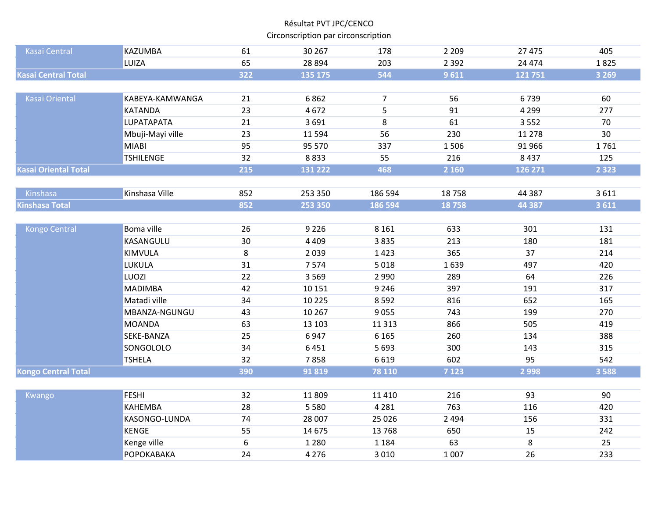| <b>Kasai Central</b>        | <b>KAZUMBA</b>    | 61               | 30 267  | 178            | 2 2 0 9 | 27 4 7 5 | 405     |
|-----------------------------|-------------------|------------------|---------|----------------|---------|----------|---------|
|                             | LUIZA             | 65               | 28 8 94 | 203            | 2 3 9 2 | 24 4 7 4 | 1825    |
| <b>Kasai Central Total</b>  |                   | $\overline{322}$ | 135 175 | 544            | 9611    | 121751   | 3 2 6 9 |
|                             |                   |                  |         |                |         |          |         |
| <b>Kasai Oriental</b>       | KABEYA-KAMWANGA   | 21               | 6862    | $\overline{7}$ | 56      | 6739     | 60      |
|                             | <b>KATANDA</b>    | 23               | 4672    | 5              | 91      | 4 2 9 9  | 277     |
|                             | LUPATAPATA        | 21               | 3691    | 8              | 61      | 3552     | 70      |
|                             | Mbuji-Mayi ville  | 23               | 11594   | 56             | 230     | 11 278   | 30      |
|                             | <b>MIABI</b>      | 95               | 95 570  | 337            | 1506    | 91 966   | 1761    |
|                             | <b>TSHILENGE</b>  | 32               | 8833    | 55             | 216     | 8437     | 125     |
| <b>Kasai Oriental Total</b> |                   | 215              | 131 222 | 468            | 2 160   | 126 271  | 2 3 2 3 |
|                             |                   |                  |         |                |         |          |         |
| Kinshasa                    | Kinshasa Ville    | 852              | 253 350 | 186 594        | 18758   | 44 3 8 7 | 3611    |
| <b>Kinshasa Total</b>       |                   | 852              | 253 350 | 186 594        | 18758   | 44 3 8 7 | 3 6 1 1 |
|                             |                   |                  |         |                |         |          |         |
| <b>Kongo Central</b>        | Boma ville        | 26               | 9 2 2 6 | 8 1 6 1        | 633     | 301      | 131     |
|                             | KASANGULU         | 30               | 4 4 0 9 | 3835           | 213     | 180      | 181     |
|                             | KIMVULA           | 8                | 2039    | 1423           | 365     | 37       | 214     |
|                             | LUKULA            | 31               | 7574    | 5018           | 1639    | 497      | 420     |
|                             | LUOZI             | 22               | 3 5 6 9 | 2 9 9 0        | 289     | 64       | 226     |
|                             | <b>MADIMBA</b>    | 42               | 10 15 1 | 9 2 4 6        | 397     | 191      | 317     |
|                             | Matadi ville      | 34               | 10 2 25 | 8592           | 816     | 652      | 165     |
|                             | MBANZA-NGUNGU     | 43               | 10 267  | 9055           | 743     | 199      | 270     |
|                             | <b>MOANDA</b>     | 63               | 13 103  | 11 3 13        | 866     | 505      | 419     |
|                             | SEKE-BANZA        | 25               | 6947    | 6 1 6 5        | 260     | 134      | 388     |
|                             | SONGOLOLO         | 34               | 6451    | 5 6 9 3        | 300     | 143      | 315     |
|                             | <b>TSHELA</b>     | 32               | 7858    | 6619           | 602     | 95       | 542     |
| <b>Kongo Central Total</b>  |                   | 390              | 91819   | 78 110         | 7 1 2 3 | 2998     | 3 5 8 8 |
|                             |                   |                  |         |                |         |          |         |
| Kwango                      | <b>FESHI</b>      | 32               | 11809   | 11 4 10        | 216     | 93       | 90      |
|                             | KAHEMBA           | 28               | 5 5 8 0 | 4 2 8 1        | 763     | 116      | 420     |
|                             | KASONGO-LUNDA     | 74               | 28 007  | 25 0 26        | 2 4 9 4 | 156      | 331     |
|                             | <b>KENGE</b>      | 55               | 14 675  | 13768          | 650     | 15       | 242     |
|                             | Kenge ville       | 6                | 1 2 8 0 | 1 1 8 4        | 63      | 8        | 25      |
|                             | <b>РОРОКАВАКА</b> | 24               | 4 2 7 6 | 3 0 1 0        | 1 0 0 7 | 26       | 233     |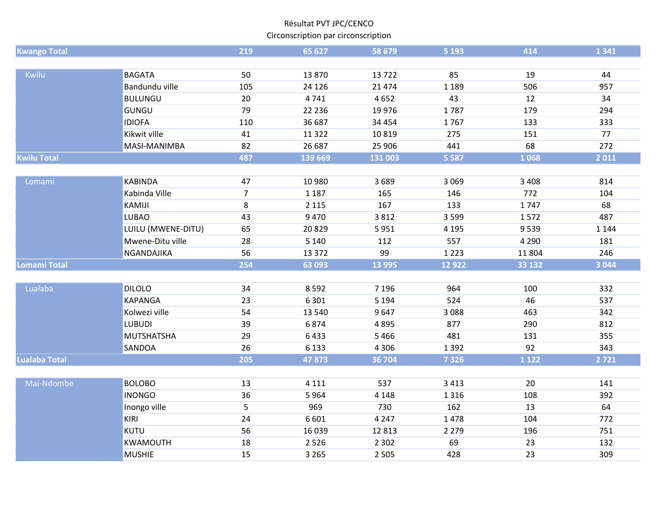| <b>Kwango Total</b>  |                    | 219            | 65 627   | 58 679   | 5 1 9 3 | 414     | 1 3 4 1 |
|----------------------|--------------------|----------------|----------|----------|---------|---------|---------|
|                      |                    |                |          |          |         |         |         |
| Kwilu                | <b>BAGATA</b>      | 50             | 13870    | 13722    | 85      | 19      | 44      |
|                      | Bandundu ville     | 105            | 24 1 26  | 21 4 7 4 | 1 1 8 9 | 506     | 957     |
|                      | <b>BULUNGU</b>     | $20\,$         | 4741     | 4652     | 43      | 12      | 34      |
|                      | <b>GUNGU</b>       | 79             | 22 2 36  | 19 9 76  | 1787    | 179     | 294     |
|                      | <b>IDIOFA</b>      | 110            | 36 687   | 34 4 54  | 1767    | 133     | 333     |
|                      | Kikwit ville       | 41             | 11 3 22  | 10819    | 275     | 151     | 77      |
|                      | MASI-MANIMBA       | 82             | 26 687   | 25 906   | 441     | 68      | 272     |
| <b>Kwilu Total</b>   |                    | 487            | 139 669  | 131 003  | 5 5 8 7 | 1068    | 2011    |
|                      |                    |                |          |          |         |         |         |
| Lomami               | <b>KABINDA</b>     | 47             | 10 980   | 3689     | 3 0 6 9 | 3 4 0 8 | 814     |
|                      | Kabinda Ville      | $\overline{7}$ | 1 1 8 7  | 165      | 146     | 772     | 104     |
|                      | KAMIJI             | 8              | 2 1 1 5  | 167      | 133     | 1747    | 68      |
|                      | <b>LUBAO</b>       | 43             | 9470     | 3812     | 3 5 9 9 | 1572    | 487     |
|                      | LUILU (MWENE-DITU) | 65             | 20829    | 5951     | 4 1 9 5 | 9539    | 1 1 4 4 |
|                      | Mwene-Ditu ville   | 28             | 5 1 4 0  | 112      | 557     | 4 2 9 0 | 181     |
|                      | NGANDAJIKA         | 56             | 13 3 7 2 | 99       | 1 2 2 3 | 11804   | 246     |
| <b>Lomami Total</b>  |                    | 254            | 63 093   | 13 9 95  | 12 9 22 | 33 132  | 3 0 4 4 |
|                      |                    |                |          |          |         |         |         |
| Lualaba              | <b>DILOLO</b>      | 34             | 8592     | 7 1 9 6  | 964     | 100     | 332     |
|                      | <b>KAPANGA</b>     | 23             | 6 3 0 1  | 5 1 9 4  | 524     | 46      | 537     |
|                      | Kolwezi ville      | 54             | 13 540   | 9647     | 3088    | 463     | 342     |
|                      | <b>LUBUDI</b>      | 39             | 6874     | 4895     | 877     | 290     | 812     |
|                      | <b>MUTSHATSHA</b>  | 29             | 6433     | 5466     | 481     | 131     | 355     |
|                      | SANDOA             | 26             | 6 1 3 3  | 4 3 0 6  | 1 3 9 2 | 92      | 343     |
| <b>Lualaba Total</b> |                    | 205            | 47873    | 36 704   | 7 3 2 6 | 1 1 2 2 | 2721    |
|                      |                    |                |          |          |         |         |         |
| Mai-Ndombe           | <b>BOLOBO</b>      | 13             | 4 1 1 1  | 537      | 3 4 1 3 | 20      | 141     |
|                      | <b>INONGO</b>      | 36             | 5964     | 4 1 4 8  | 1 3 1 6 | 108     | 392     |
|                      | Inongo ville       | 5              | 969      | 730      | 162     | 13      | 64      |
|                      | <b>KIRI</b>        | 24             | 6 6 0 1  | 4 2 4 7  | 1478    | 104     | 772     |
|                      | <b>KUTU</b>        | 56             | 16 0 39  | 12813    | 2 2 7 9 | 196     | 751     |
|                      | KWAMOUTH           | 18             | 2 5 2 6  | 2 3 0 2  | 69      | 23      | 132     |
|                      | <b>MUSHIE</b>      | 15             | 3 2 6 5  | 2 5 0 5  | 428     | 23      | 309     |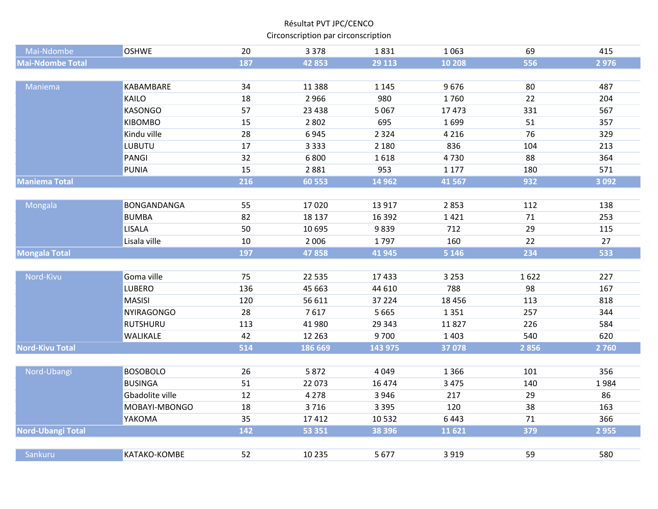| Mai-Ndombe               | <b>OSHWE</b>      | 20  | 3 3 7 8  | 1831    | 1 0 6 3  | 69   | 415     |
|--------------------------|-------------------|-----|----------|---------|----------|------|---------|
| <b>Mai-Ndombe Total</b>  |                   | 187 | 42853    | 29 113  | 10 20 8  | 556  | 2976    |
|                          |                   |     |          |         |          |      |         |
| Maniema                  | KABAMBARE         | 34  | 11 3 8 8 | 1 1 4 5 | 9676     | 80   | 487     |
|                          | KAILO             | 18  | 2966     | 980     | 1760     | 22   | 204     |
|                          | <b>KASONGO</b>    | 57  | 23 4 38  | 5 0 6 7 | 17473    | 331  | 567     |
|                          | KIBOMBO           | 15  | 2 8 0 2  | 695     | 1699     | 51   | 357     |
|                          | Kindu ville       | 28  | 6945     | 2 3 2 4 | 4 2 1 6  | 76   | 329     |
|                          | LUBUTU            | 17  | 3 3 3 3  | 2 1 8 0 | 836      | 104  | 213     |
|                          | PANGI             | 32  | 6800     | 1618    | 4730     | 88   | 364     |
|                          | <b>PUNIA</b>      | 15  | 2881     | 953     | 1 1 7 7  | 180  | 571     |
| <b>Maniema Total</b>     |                   | 216 | 60 553   | 14 9 62 | 41 5 67  | 932  | 3 0 9 2 |
|                          |                   |     |          |         |          |      |         |
| Mongala                  | BONGANDANGA       | 55  | 17020    | 13 9 17 | 2853     | 112  | 138     |
|                          | <b>BUMBA</b>      | 82  | 18 137   | 16 3 92 | 1421     | 71   | 253     |
|                          | <b>LISALA</b>     | 50  | 10 695   | 9839    | 712      | 29   | 115     |
|                          | Lisala ville      | 10  | 2 0 0 6  | 1797    | 160      | 22   | 27      |
| <b>Mongala Total</b>     |                   | 197 | 47858    | 41 945  | 5 1 4 6  | 234  | 533     |
|                          |                   |     |          |         |          |      |         |
| Nord-Kivu                | Goma ville        | 75  | 22 5 35  | 17433   | 3 2 5 3  | 1622 | 227     |
|                          | LUBERO            | 136 | 45 663   | 44 610  | 788      | 98   | 167     |
|                          | <b>MASISI</b>     | 120 | 56 611   | 37 224  | 18 4 5 6 | 113  | 818     |
|                          | <b>NYIRAGONGO</b> | 28  | 7617     | 5 6 6 5 | 1351     | 257  | 344     |
|                          | <b>RUTSHURU</b>   | 113 | 41 980   | 29 34 3 | 11827    | 226  | 584     |
|                          | WALIKALE          | 42  | 12 2 63  | 9700    | 1 4 0 3  | 540  | 620     |
| <b>Nord-Kivu Total</b>   |                   | 514 | 186 669  | 143 975 | 37 078   | 2856 | 2760    |
|                          |                   |     |          |         |          |      |         |
| Nord-Ubangi              | <b>BOSOBOLO</b>   | 26  | 5872     | 4 0 4 9 | 1 3 6 6  | 101  | 356     |
|                          | <b>BUSINGA</b>    | 51  | 22 073   | 16 4 74 | 3 4 7 5  | 140  | 1984    |
|                          | Gbadolite ville   | 12  | 4 2 7 8  | 3 9 4 6 | 217      | 29   | 86      |
|                          | MOBAYI-MBONGO     | 18  | 3716     | 3 3 9 5 | 120      | 38   | 163     |
|                          | YAKOMA            | 35  | 17412    | 10532   | 6443     | 71   | 366     |
| <b>Nord-Ubangi Total</b> |                   | 142 | 53 351   | 38 3 96 | 11 6 21  | 379  | 2955    |
|                          |                   |     |          |         |          |      |         |
| Sankuru                  | KATAKO-KOMBE      | 52  | 10 2 35  | 5677    | 3 9 1 9  | 59   | 580     |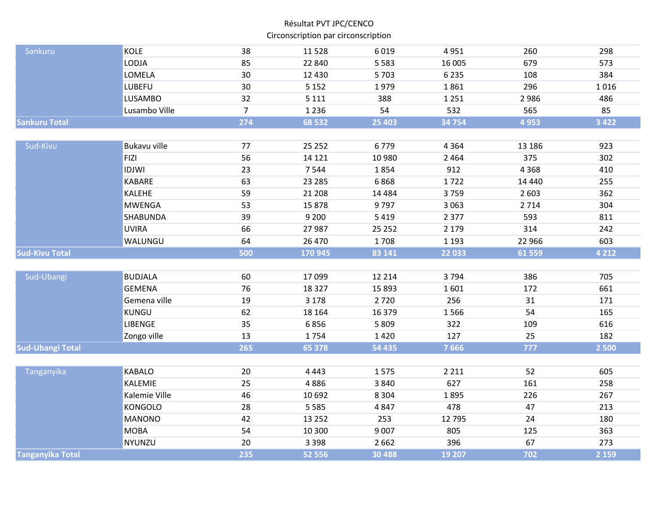| Sankuru                 | <b>KOLE</b>    | 38             | 11528    | 6019     | 4951    | 260      | 298     |
|-------------------------|----------------|----------------|----------|----------|---------|----------|---------|
|                         | LODJA          | 85             | 22 840   | 5 5 8 3  | 16 005  | 679      | 573     |
|                         | LOMELA         | 30             | 12 4 30  | 5703     | 6 2 3 5 | 108      | 384     |
|                         | <b>LUBEFU</b>  | 30             | 5 1 5 2  | 1979     | 1861    | 296      | 1016    |
|                         | <b>LUSAMBO</b> | 32             | 5 1 1 1  | 388      | 1 2 5 1 | 2986     | 486     |
|                         | Lusambo Ville  | $\overline{7}$ | 1 2 3 6  | 54       | 532     | 565      | 85      |
| <b>Sankuru Total</b>    |                | 274            | 68 532   | 25 4 03  | 34 754  | 4953     | 3 4 2 2 |
|                         |                |                |          |          |         |          |         |
| Sud-Kivu                | Bukavu ville   | 77             | 25 25 2  | 6779     | 4 3 6 4 | 13 18 6  | 923     |
|                         | <b>FIZI</b>    | 56             | 14 1 21  | 10 980   | 2 4 6 4 | 375      | 302     |
|                         | <b>IDJWI</b>   |                |          |          |         |          |         |
|                         |                | 23             | 7544     | 1854     | 912     | 4 3 6 8  | 410     |
|                         | <b>KABARE</b>  | 63             | 23 28 5  | 6868     | 1722    | 14 4 4 0 | 255     |
|                         | KALEHE         | 59             | 21 208   | 14 4 8 4 | 3759    | 2 6 0 3  | 362     |
|                         | <b>MWENGA</b>  | 53             | 15878    | 9797     | 3 0 6 3 | 2714     | 304     |
|                         | SHABUNDA       | 39             | 9 2 0 0  | 5419     | 2 3 7 7 | 593      | 811     |
|                         | <b>UVIRA</b>   | 66             | 27 987   | 25 25 2  | 2 1 7 9 | 314      | 242     |
|                         | WALUNGU        | 64             | 26 470   | 1708     | 1 1 9 3 | 22 966   | 603     |
| <b>Sud-Kivu Total</b>   |                | 500            | 170 945  | 83 141   | 22 033  | 61 559   | 4 2 1 2 |
|                         |                |                |          |          |         |          |         |
| Sud-Ubangi              | <b>BUDJALA</b> | 60             | 17099    | 12 2 14  | 3794    | 386      | 705     |
|                         | <b>GEMENA</b>  | 76             | 18 3 27  | 15 8 93  | 1601    | 172      | 661     |
|                         | Gemena ville   | 19             | 3 1 7 8  | 2720     | 256     | 31       | 171     |
|                         | KUNGU          | 62             | 18 164   | 16 3 7 9 | 1566    | 54       | 165     |
|                         | LIBENGE        | 35             | 6856     | 5 8 0 9  | 322     | 109      | 616     |
|                         | Zongo ville    | 13             | 1754     | 1420     | 127     | 25       | 182     |
| <b>Sud-Ubangi Total</b> |                | 265            | 65 378   | 54 435   | 7666    | 777      | 2 500   |
|                         |                |                |          |          |         |          |         |
| Tanganyika              | <b>KABALO</b>  | 20             | 4 4 4 3  | 1575     | 2 2 1 1 | 52       | 605     |
|                         | KALEMIE        | 25             | 4886     | 3840     | 627     | 161      | 258     |
|                         | Kalemie Ville  | 46             | 10 692   | 8 3 0 4  | 1895    | 226      | 267     |
|                         | <b>KONGOLO</b> | 28             | 5 5 8 5  | 4847     | 478     | 47       | 213     |
|                         | <b>MANONO</b>  | 42             | 13 2 5 2 | 253      | 12 7 95 | 24       | 180     |
|                         | <b>MOBA</b>    | 54             | 10 300   | 9 0 0 7  | 805     | 125      | 363     |
|                         | NYUNZU         | 20             | 3 3 9 8  | 2 6 6 2  | 396     | 67       | 273     |
| <b>Tanganyika Total</b> |                | 235            | 52 556   | 30 4 88  | 19 20 7 | 702      | 2 1 5 9 |